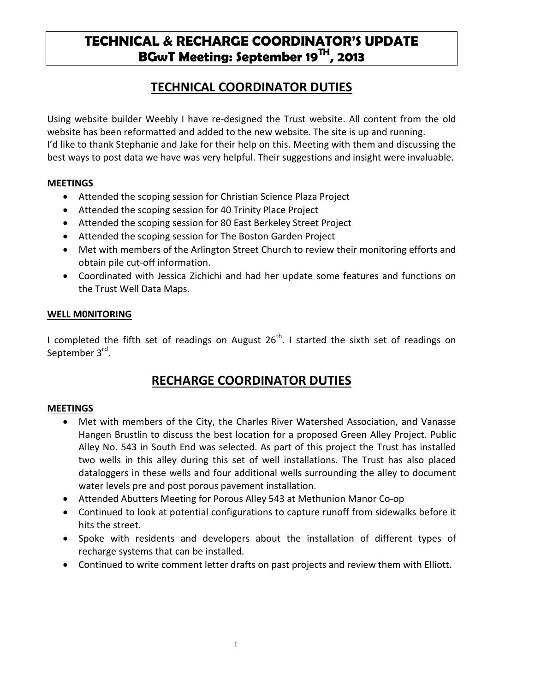# **TECHNICAL & RECHARGE COORDINATOR'S UPDATE BGwT Meeting: September 19TH, 2013**

### **TECHNICAL COORDINATOR DUTIES**

Using website builder Weebly I have re-designed the Trust website. All content from the old website has been reformatted and added to the new website. The site is up and running. I'd like to thank Stephanie and Jake for their help on this. Meeting with them and discussing the best ways to post data we have was very helpful. Their suggestions and insight were invaluable.

#### **MEETINGS**

- Attended the scoping session for Christian Science Plaza Project
- Attended the scoping session for 40 Trinity Place Project
- Attended the scoping session for 80 East Berkeley Street Project
- Attended the scoping session for The Boston Garden Project
- Met with members of the Arlington Street Church to review their monitoring efforts and obtain pile cut-off information.
- Coordinated with Jessica Zichichi and had her update some features and functions on the Trust Well Data Maps.

#### **WELL M0NITORING**

I completed the fifth set of readings on August  $26<sup>th</sup>$ . I started the sixth set of readings on September 3<sup>rd</sup>.

## **RECHARGE COORDINATOR DUTIES**

#### **MEETINGS**

- Met with members of the City, the Charles River Watershed Association, and Vanasse Hangen Brustlin to discuss the best location for a proposed Green Alley Project. Public Alley No. 543 in South End was selected. As part of this project the Trust has installed two wells in this alley during this set of well installations. The Trust has also placed dataloggers in these wells and four additional wells surrounding the alley to document water levels pre and post porous pavement installation.
- Attended Abutters Meeting for Porous Alley 543 at Methunion Manor Co-op
- Continued to look at potential configurations to capture runoff from sidewalks before it hits the street.
- Spoke with residents and developers about the installation of different types of recharge systems that can be installed.
- Continued to write comment letter drafts on past projects and review them with Elliott.